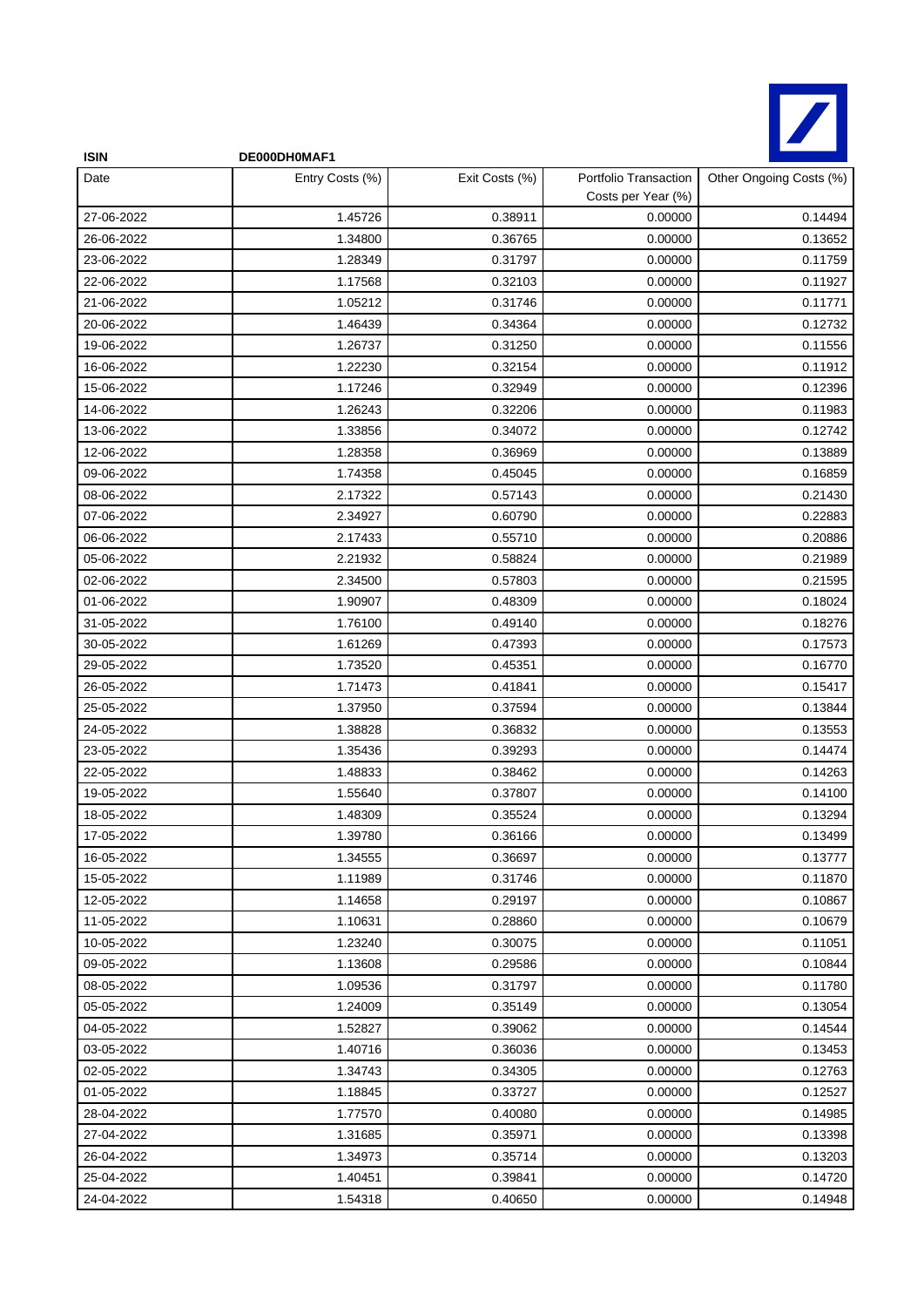

| <b>ISIN</b> | DE000DH0MAF1    |                |                                             |                         |
|-------------|-----------------|----------------|---------------------------------------------|-------------------------|
| Date        | Entry Costs (%) | Exit Costs (%) | Portfolio Transaction<br>Costs per Year (%) | Other Ongoing Costs (%) |
| 27-06-2022  | 1.45726         | 0.38911        | 0.00000                                     | 0.14494                 |
| 26-06-2022  | 1.34800         | 0.36765        | 0.00000                                     | 0.13652                 |
| 23-06-2022  | 1.28349         | 0.31797        | 0.00000                                     | 0.11759                 |
| 22-06-2022  | 1.17568         | 0.32103        | 0.00000                                     | 0.11927                 |
| 21-06-2022  | 1.05212         | 0.31746        | 0.00000                                     | 0.11771                 |
| 20-06-2022  | 1.46439         | 0.34364        | 0.00000                                     | 0.12732                 |
| 19-06-2022  | 1.26737         | 0.31250        | 0.00000                                     | 0.11556                 |
| 16-06-2022  | 1.22230         | 0.32154        | 0.00000                                     | 0.11912                 |
| 15-06-2022  | 1.17246         | 0.32949        | 0.00000                                     | 0.12396                 |
| 14-06-2022  | 1.26243         | 0.32206        | 0.00000                                     | 0.11983                 |
| 13-06-2022  | 1.33856         | 0.34072        | 0.00000                                     | 0.12742                 |
| 12-06-2022  | 1.28358         | 0.36969        | 0.00000                                     | 0.13889                 |
| 09-06-2022  | 1.74358         | 0.45045        | 0.00000                                     | 0.16859                 |
| 08-06-2022  | 2.17322         | 0.57143        | 0.00000                                     | 0.21430                 |
| 07-06-2022  | 2.34927         | 0.60790        | 0.00000                                     | 0.22883                 |
| 06-06-2022  | 2.17433         | 0.55710        | 0.00000                                     | 0.20886                 |
| 05-06-2022  | 2.21932         | 0.58824        | 0.00000                                     | 0.21989                 |
| 02-06-2022  | 2.34500         | 0.57803        | 0.00000                                     | 0.21595                 |
| 01-06-2022  | 1.90907         | 0.48309        | 0.00000                                     | 0.18024                 |
| 31-05-2022  | 1.76100         | 0.49140        | 0.00000                                     | 0.18276                 |
| 30-05-2022  | 1.61269         | 0.47393        | 0.00000                                     | 0.17573                 |
| 29-05-2022  | 1.73520         | 0.45351        | 0.00000                                     | 0.16770                 |
| 26-05-2022  | 1.71473         | 0.41841        | 0.00000                                     | 0.15417                 |
| 25-05-2022  | 1.37950         | 0.37594        | 0.00000                                     | 0.13844                 |
| 24-05-2022  | 1.38828         | 0.36832        | 0.00000                                     | 0.13553                 |
| 23-05-2022  | 1.35436         | 0.39293        | 0.00000                                     | 0.14474                 |
| 22-05-2022  | 1.48833         | 0.38462        | 0.00000                                     | 0.14263                 |
| 19-05-2022  | 1.55640         | 0.37807        | 0.00000                                     | 0.14100                 |
| 18-05-2022  | 1.48309         | 0.35524        | 0.00000                                     | 0.13294                 |
| 17-05-2022  | 1.39780         | 0.36166        | 0.00000                                     | 0.13499                 |
| 16-05-2022  | 1.34555         | 0.36697        | 0.00000                                     | 0.13777                 |
| 15-05-2022  | 1.11989         | 0.31746        | 0.00000                                     | 0.11870                 |
| 12-05-2022  | 1.14658         | 0.29197        | 0.00000                                     | 0.10867                 |
| 11-05-2022  | 1.10631         | 0.28860        | 0.00000                                     | 0.10679                 |
| 10-05-2022  | 1.23240         | 0.30075        | 0.00000                                     | 0.11051                 |
| 09-05-2022  | 1.13608         | 0.29586        | 0.00000                                     | 0.10844                 |
| 08-05-2022  | 1.09536         | 0.31797        | 0.00000                                     | 0.11780                 |
| 05-05-2022  | 1.24009         | 0.35149        | 0.00000                                     | 0.13054                 |
| 04-05-2022  | 1.52827         | 0.39062        | 0.00000                                     | 0.14544                 |
| 03-05-2022  | 1.40716         | 0.36036        | 0.00000                                     | 0.13453                 |
| 02-05-2022  | 1.34743         | 0.34305        | 0.00000                                     | 0.12763                 |
| 01-05-2022  | 1.18845         | 0.33727        | 0.00000                                     | 0.12527                 |
| 28-04-2022  | 1.77570         | 0.40080        | 0.00000                                     | 0.14985                 |
| 27-04-2022  | 1.31685         | 0.35971        | 0.00000                                     | 0.13398                 |
| 26-04-2022  | 1.34973         | 0.35714        | 0.00000                                     | 0.13203                 |
| 25-04-2022  | 1.40451         | 0.39841        | 0.00000                                     | 0.14720                 |
| 24-04-2022  | 1.54318         | 0.40650        | 0.00000                                     | 0.14948                 |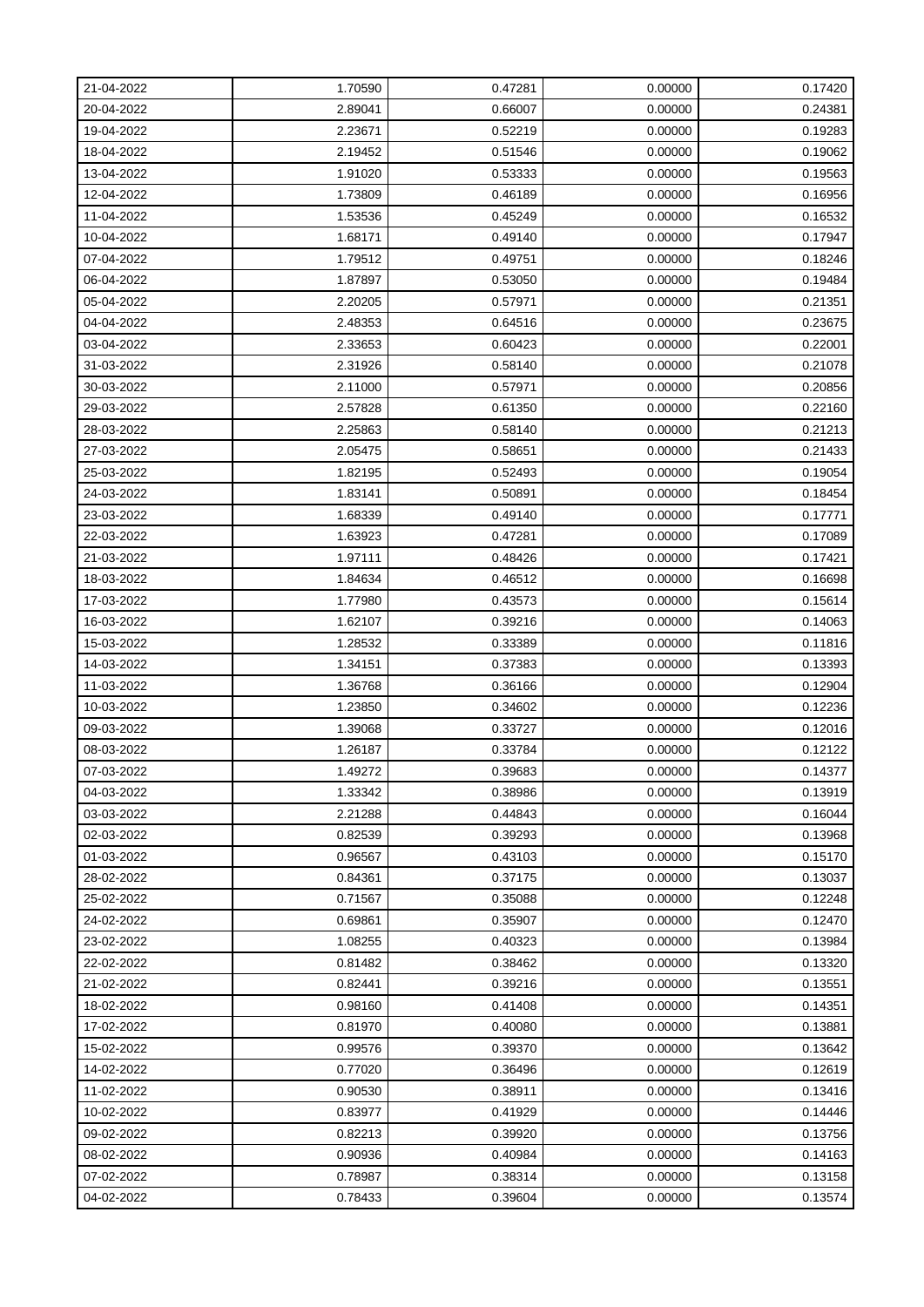| 21-04-2022 | 1.70590 | 0.47281 | 0.00000 | 0.17420 |
|------------|---------|---------|---------|---------|
| 20-04-2022 | 2.89041 | 0.66007 | 0.00000 | 0.24381 |
| 19-04-2022 | 2.23671 | 0.52219 | 0.00000 | 0.19283 |
| 18-04-2022 | 2.19452 | 0.51546 | 0.00000 | 0.19062 |
| 13-04-2022 | 1.91020 | 0.53333 | 0.00000 | 0.19563 |
| 12-04-2022 | 1.73809 | 0.46189 | 0.00000 | 0.16956 |
| 11-04-2022 | 1.53536 | 0.45249 | 0.00000 | 0.16532 |
| 10-04-2022 | 1.68171 | 0.49140 | 0.00000 | 0.17947 |
| 07-04-2022 | 1.79512 | 0.49751 | 0.00000 | 0.18246 |
| 06-04-2022 | 1.87897 | 0.53050 | 0.00000 | 0.19484 |
| 05-04-2022 | 2.20205 | 0.57971 | 0.00000 | 0.21351 |
| 04-04-2022 | 2.48353 | 0.64516 | 0.00000 | 0.23675 |
| 03-04-2022 | 2.33653 | 0.60423 | 0.00000 | 0.22001 |
| 31-03-2022 | 2.31926 | 0.58140 | 0.00000 | 0.21078 |
| 30-03-2022 | 2.11000 | 0.57971 | 0.00000 | 0.20856 |
| 29-03-2022 | 2.57828 | 0.61350 | 0.00000 | 0.22160 |
| 28-03-2022 | 2.25863 | 0.58140 | 0.00000 | 0.21213 |
| 27-03-2022 | 2.05475 | 0.58651 | 0.00000 | 0.21433 |
| 25-03-2022 | 1.82195 | 0.52493 | 0.00000 | 0.19054 |
| 24-03-2022 | 1.83141 | 0.50891 | 0.00000 | 0.18454 |
| 23-03-2022 | 1.68339 | 0.49140 | 0.00000 | 0.17771 |
| 22-03-2022 | 1.63923 | 0.47281 | 0.00000 | 0.17089 |
| 21-03-2022 | 1.97111 | 0.48426 | 0.00000 | 0.17421 |
| 18-03-2022 | 1.84634 | 0.46512 | 0.00000 | 0.16698 |
| 17-03-2022 | 1.77980 | 0.43573 | 0.00000 | 0.15614 |
| 16-03-2022 | 1.62107 | 0.39216 | 0.00000 | 0.14063 |
| 15-03-2022 | 1.28532 | 0.33389 | 0.00000 | 0.11816 |
| 14-03-2022 | 1.34151 | 0.37383 | 0.00000 | 0.13393 |
| 11-03-2022 | 1.36768 | 0.36166 | 0.00000 | 0.12904 |
| 10-03-2022 | 1.23850 | 0.34602 | 0.00000 | 0.12236 |
| 09-03-2022 | 1.39068 | 0.33727 | 0.00000 | 0.12016 |
| 08-03-2022 | 1.26187 | 0.33784 | 0.00000 | 0.12122 |
| 07-03-2022 | 1.49272 | 0.39683 | 0.00000 | 0.14377 |
| 04-03-2022 | 1.33342 | 0.38986 | 0.00000 | 0.13919 |
| 03-03-2022 | 2.21288 | 0.44843 | 0.00000 | 0.16044 |
| 02-03-2022 | 0.82539 | 0.39293 | 0.00000 | 0.13968 |
| 01-03-2022 | 0.96567 | 0.43103 | 0.00000 | 0.15170 |
| 28-02-2022 | 0.84361 | 0.37175 | 0.00000 | 0.13037 |
| 25-02-2022 | 0.71567 | 0.35088 | 0.00000 | 0.12248 |
| 24-02-2022 | 0.69861 | 0.35907 | 0.00000 | 0.12470 |
| 23-02-2022 | 1.08255 | 0.40323 | 0.00000 | 0.13984 |
| 22-02-2022 | 0.81482 | 0.38462 | 0.00000 | 0.13320 |
| 21-02-2022 | 0.82441 | 0.39216 | 0.00000 | 0.13551 |
| 18-02-2022 | 0.98160 | 0.41408 | 0.00000 | 0.14351 |
| 17-02-2022 | 0.81970 | 0.40080 | 0.00000 | 0.13881 |
| 15-02-2022 | 0.99576 | 0.39370 | 0.00000 | 0.13642 |
| 14-02-2022 | 0.77020 | 0.36496 | 0.00000 | 0.12619 |
| 11-02-2022 | 0.90530 | 0.38911 | 0.00000 | 0.13416 |
| 10-02-2022 | 0.83977 | 0.41929 | 0.00000 | 0.14446 |
| 09-02-2022 | 0.82213 | 0.39920 | 0.00000 | 0.13756 |
| 08-02-2022 | 0.90936 | 0.40984 | 0.00000 | 0.14163 |
| 07-02-2022 | 0.78987 | 0.38314 | 0.00000 | 0.13158 |
| 04-02-2022 | 0.78433 | 0.39604 | 0.00000 | 0.13574 |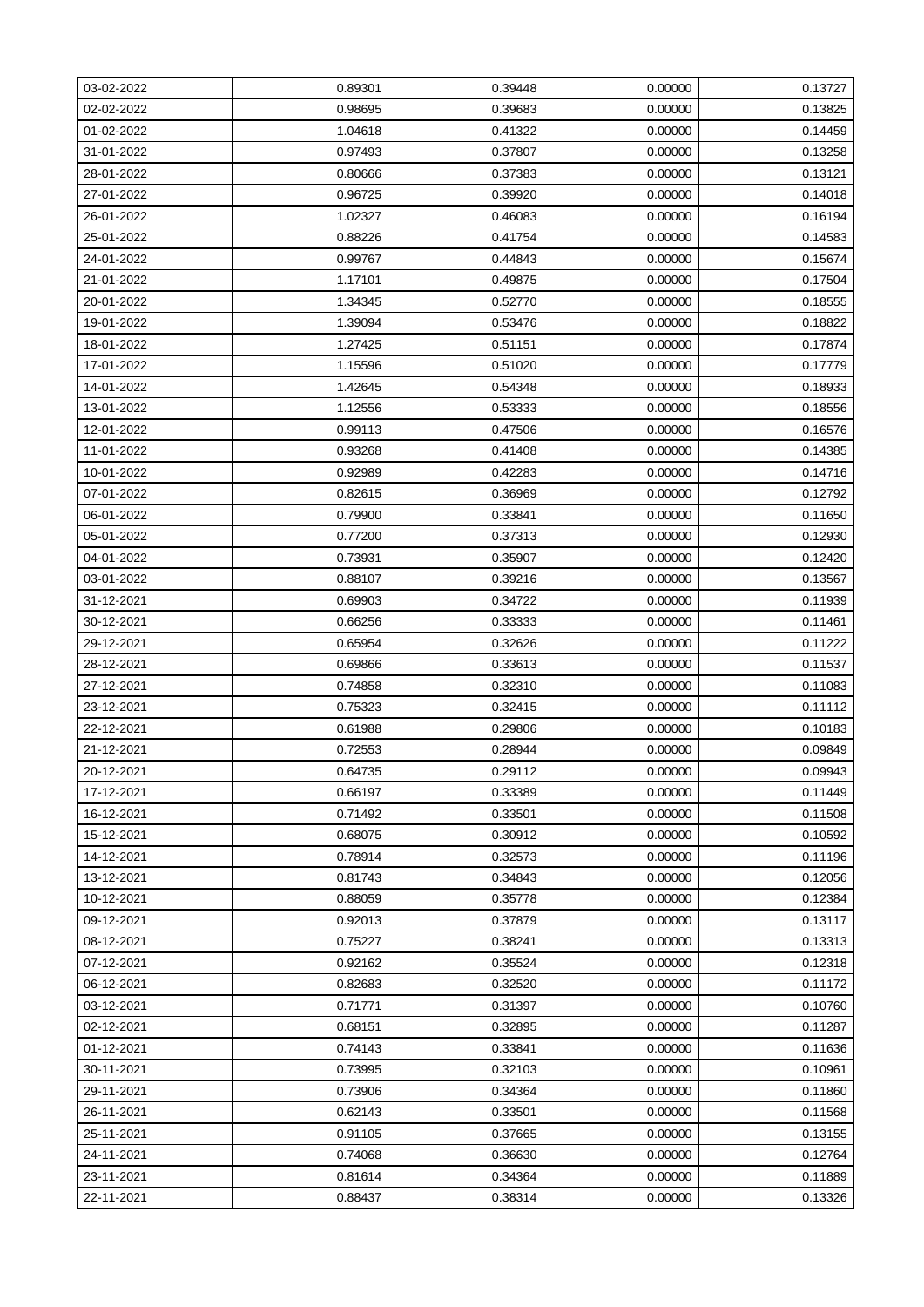| 03-02-2022 | 0.89301 | 0.39448 | 0.00000 | 0.13727 |
|------------|---------|---------|---------|---------|
| 02-02-2022 | 0.98695 | 0.39683 | 0.00000 | 0.13825 |
| 01-02-2022 | 1.04618 | 0.41322 | 0.00000 | 0.14459 |
| 31-01-2022 | 0.97493 | 0.37807 | 0.00000 | 0.13258 |
| 28-01-2022 | 0.80666 | 0.37383 | 0.00000 | 0.13121 |
| 27-01-2022 | 0.96725 | 0.39920 | 0.00000 | 0.14018 |
| 26-01-2022 | 1.02327 | 0.46083 | 0.00000 | 0.16194 |
| 25-01-2022 | 0.88226 | 0.41754 | 0.00000 | 0.14583 |
| 24-01-2022 | 0.99767 | 0.44843 | 0.00000 | 0.15674 |
| 21-01-2022 | 1.17101 | 0.49875 | 0.00000 | 0.17504 |
| 20-01-2022 | 1.34345 | 0.52770 | 0.00000 | 0.18555 |
| 19-01-2022 | 1.39094 | 0.53476 | 0.00000 | 0.18822 |
| 18-01-2022 | 1.27425 | 0.51151 | 0.00000 | 0.17874 |
| 17-01-2022 | 1.15596 | 0.51020 | 0.00000 | 0.17779 |
| 14-01-2022 | 1.42645 | 0.54348 | 0.00000 | 0.18933 |
| 13-01-2022 | 1.12556 | 0.53333 | 0.00000 | 0.18556 |
| 12-01-2022 | 0.99113 | 0.47506 | 0.00000 | 0.16576 |
| 11-01-2022 | 0.93268 | 0.41408 | 0.00000 | 0.14385 |
| 10-01-2022 | 0.92989 | 0.42283 | 0.00000 | 0.14716 |
| 07-01-2022 | 0.82615 | 0.36969 | 0.00000 | 0.12792 |
| 06-01-2022 | 0.79900 | 0.33841 | 0.00000 | 0.11650 |
| 05-01-2022 | 0.77200 | 0.37313 | 0.00000 | 0.12930 |
| 04-01-2022 | 0.73931 | 0.35907 | 0.00000 | 0.12420 |
| 03-01-2022 | 0.88107 | 0.39216 | 0.00000 | 0.13567 |
| 31-12-2021 | 0.69903 | 0.34722 | 0.00000 | 0.11939 |
| 30-12-2021 | 0.66256 | 0.33333 | 0.00000 | 0.11461 |
| 29-12-2021 | 0.65954 | 0.32626 | 0.00000 | 0.11222 |
| 28-12-2021 | 0.69866 | 0.33613 | 0.00000 | 0.11537 |
| 27-12-2021 | 0.74858 | 0.32310 | 0.00000 | 0.11083 |
| 23-12-2021 | 0.75323 | 0.32415 | 0.00000 | 0.11112 |
| 22-12-2021 | 0.61988 | 0.29806 | 0.00000 | 0.10183 |
| 21-12-2021 | 0.72553 | 0.28944 | 0.00000 | 0.09849 |
| 20-12-2021 | 0.64735 | 0.29112 | 0.00000 | 0.09943 |
| 17-12-2021 | 0.66197 | 0.33389 | 0.00000 | 0.11449 |
| 16-12-2021 | 0.71492 | 0.33501 | 0.00000 | 0.11508 |
| 15-12-2021 | 0.68075 | 0.30912 | 0.00000 | 0.10592 |
| 14-12-2021 | 0.78914 | 0.32573 | 0.00000 | 0.11196 |
| 13-12-2021 | 0.81743 | 0.34843 | 0.00000 | 0.12056 |
| 10-12-2021 | 0.88059 | 0.35778 | 0.00000 | 0.12384 |
| 09-12-2021 | 0.92013 | 0.37879 | 0.00000 | 0.13117 |
| 08-12-2021 | 0.75227 | 0.38241 | 0.00000 | 0.13313 |
| 07-12-2021 | 0.92162 | 0.35524 | 0.00000 | 0.12318 |
| 06-12-2021 | 0.82683 | 0.32520 | 0.00000 | 0.11172 |
| 03-12-2021 | 0.71771 | 0.31397 | 0.00000 | 0.10760 |
| 02-12-2021 | 0.68151 | 0.32895 | 0.00000 | 0.11287 |
| 01-12-2021 | 0.74143 | 0.33841 | 0.00000 | 0.11636 |
| 30-11-2021 | 0.73995 | 0.32103 | 0.00000 | 0.10961 |
| 29-11-2021 | 0.73906 | 0.34364 | 0.00000 | 0.11860 |
| 26-11-2021 | 0.62143 | 0.33501 | 0.00000 | 0.11568 |
| 25-11-2021 | 0.91105 | 0.37665 | 0.00000 | 0.13155 |
| 24-11-2021 | 0.74068 | 0.36630 | 0.00000 | 0.12764 |
| 23-11-2021 | 0.81614 | 0.34364 | 0.00000 | 0.11889 |
| 22-11-2021 | 0.88437 | 0.38314 | 0.00000 | 0.13326 |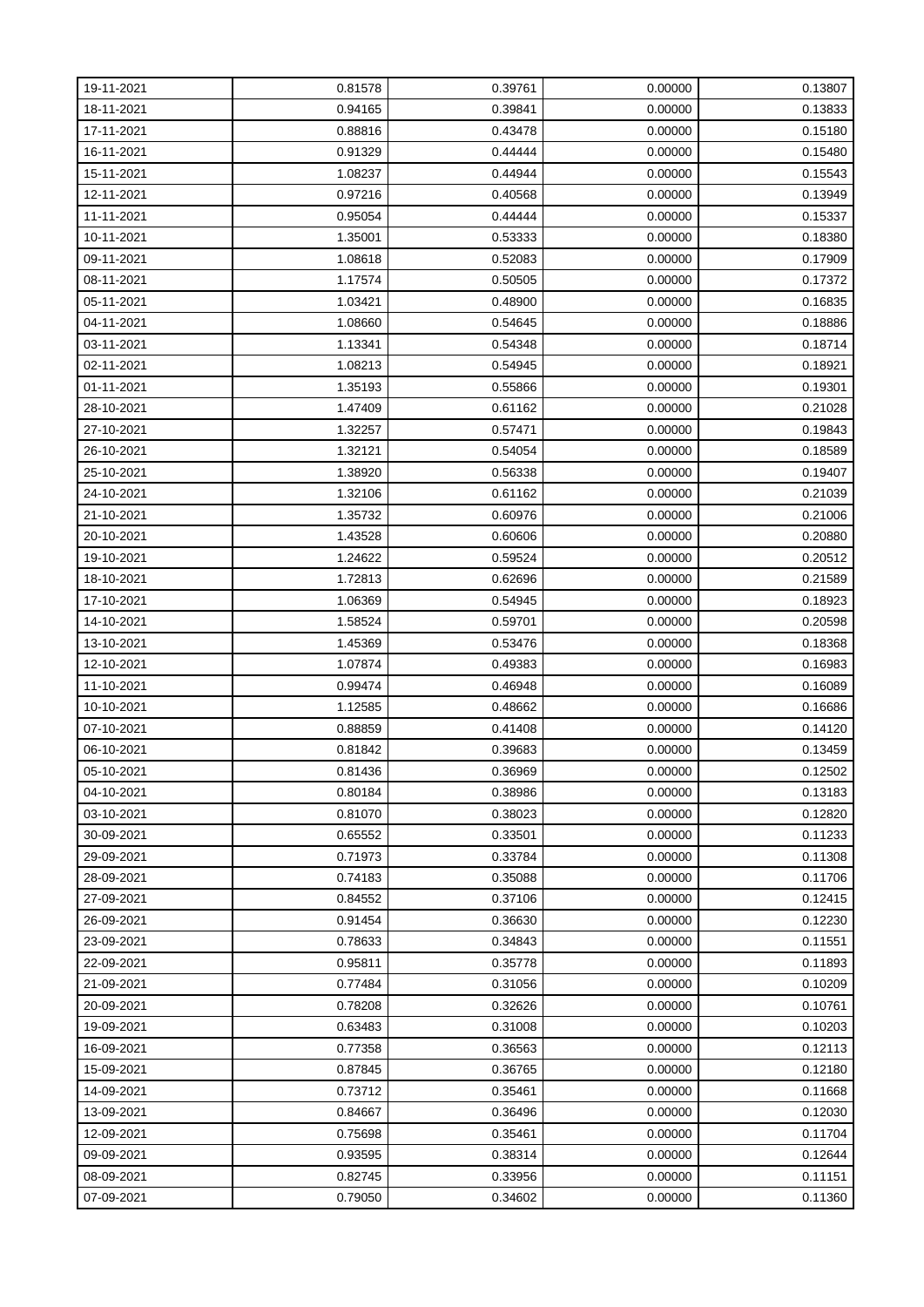| 19-11-2021 | 0.81578 | 0.39761 | 0.00000 | 0.13807 |
|------------|---------|---------|---------|---------|
| 18-11-2021 | 0.94165 | 0.39841 | 0.00000 | 0.13833 |
| 17-11-2021 | 0.88816 | 0.43478 | 0.00000 | 0.15180 |
| 16-11-2021 | 0.91329 | 0.44444 | 0.00000 | 0.15480 |
| 15-11-2021 | 1.08237 | 0.44944 | 0.00000 | 0.15543 |
| 12-11-2021 | 0.97216 | 0.40568 | 0.00000 | 0.13949 |
| 11-11-2021 | 0.95054 | 0.44444 | 0.00000 | 0.15337 |
| 10-11-2021 | 1.35001 | 0.53333 | 0.00000 | 0.18380 |
| 09-11-2021 | 1.08618 | 0.52083 | 0.00000 | 0.17909 |
| 08-11-2021 | 1.17574 | 0.50505 | 0.00000 | 0.17372 |
| 05-11-2021 | 1.03421 | 0.48900 | 0.00000 | 0.16835 |
| 04-11-2021 | 1.08660 | 0.54645 | 0.00000 | 0.18886 |
| 03-11-2021 | 1.13341 | 0.54348 | 0.00000 | 0.18714 |
| 02-11-2021 | 1.08213 | 0.54945 | 0.00000 | 0.18921 |
| 01-11-2021 | 1.35193 | 0.55866 | 0.00000 | 0.19301 |
| 28-10-2021 | 1.47409 | 0.61162 | 0.00000 | 0.21028 |
| 27-10-2021 | 1.32257 | 0.57471 | 0.00000 | 0.19843 |
| 26-10-2021 | 1.32121 | 0.54054 | 0.00000 | 0.18589 |
| 25-10-2021 | 1.38920 | 0.56338 | 0.00000 | 0.19407 |
| 24-10-2021 | 1.32106 | 0.61162 | 0.00000 | 0.21039 |
| 21-10-2021 | 1.35732 | 0.60976 | 0.00000 | 0.21006 |
| 20-10-2021 | 1.43528 | 0.60606 | 0.00000 | 0.20880 |
| 19-10-2021 | 1.24622 | 0.59524 | 0.00000 | 0.20512 |
| 18-10-2021 | 1.72813 | 0.62696 | 0.00000 | 0.21589 |
| 17-10-2021 | 1.06369 | 0.54945 | 0.00000 | 0.18923 |
| 14-10-2021 | 1.58524 | 0.59701 | 0.00000 | 0.20598 |
| 13-10-2021 | 1.45369 | 0.53476 | 0.00000 | 0.18368 |
| 12-10-2021 | 1.07874 | 0.49383 | 0.00000 | 0.16983 |
| 11-10-2021 | 0.99474 | 0.46948 | 0.00000 | 0.16089 |
| 10-10-2021 | 1.12585 | 0.48662 | 0.00000 | 0.16686 |
| 07-10-2021 | 0.88859 | 0.41408 | 0.00000 | 0.14120 |
| 06-10-2021 | 0.81842 | 0.39683 | 0.00000 | 0.13459 |
| 05-10-2021 | 0.81436 | 0.36969 | 0.00000 | 0.12502 |
| 04-10-2021 | 0.80184 | 0.38986 | 0.00000 | 0.13183 |
| 03-10-2021 | 0.81070 | 0.38023 | 0.00000 | 0.12820 |
| 30-09-2021 | 0.65552 | 0.33501 | 0.00000 | 0.11233 |
| 29-09-2021 | 0.71973 | 0.33784 | 0.00000 | 0.11308 |
| 28-09-2021 | 0.74183 | 0.35088 | 0.00000 | 0.11706 |
| 27-09-2021 | 0.84552 | 0.37106 | 0.00000 | 0.12415 |
| 26-09-2021 | 0.91454 | 0.36630 | 0.00000 | 0.12230 |
| 23-09-2021 | 0.78633 | 0.34843 | 0.00000 | 0.11551 |
| 22-09-2021 | 0.95811 | 0.35778 | 0.00000 | 0.11893 |
| 21-09-2021 | 0.77484 | 0.31056 | 0.00000 | 0.10209 |
| 20-09-2021 | 0.78208 | 0.32626 | 0.00000 | 0.10761 |
| 19-09-2021 | 0.63483 | 0.31008 | 0.00000 | 0.10203 |
| 16-09-2021 | 0.77358 | 0.36563 | 0.00000 | 0.12113 |
| 15-09-2021 | 0.87845 | 0.36765 | 0.00000 | 0.12180 |
| 14-09-2021 | 0.73712 | 0.35461 | 0.00000 | 0.11668 |
| 13-09-2021 | 0.84667 | 0.36496 | 0.00000 | 0.12030 |
| 12-09-2021 | 0.75698 | 0.35461 | 0.00000 | 0.11704 |
| 09-09-2021 | 0.93595 | 0.38314 | 0.00000 | 0.12644 |
| 08-09-2021 | 0.82745 | 0.33956 | 0.00000 | 0.11151 |
| 07-09-2021 | 0.79050 | 0.34602 | 0.00000 | 0.11360 |